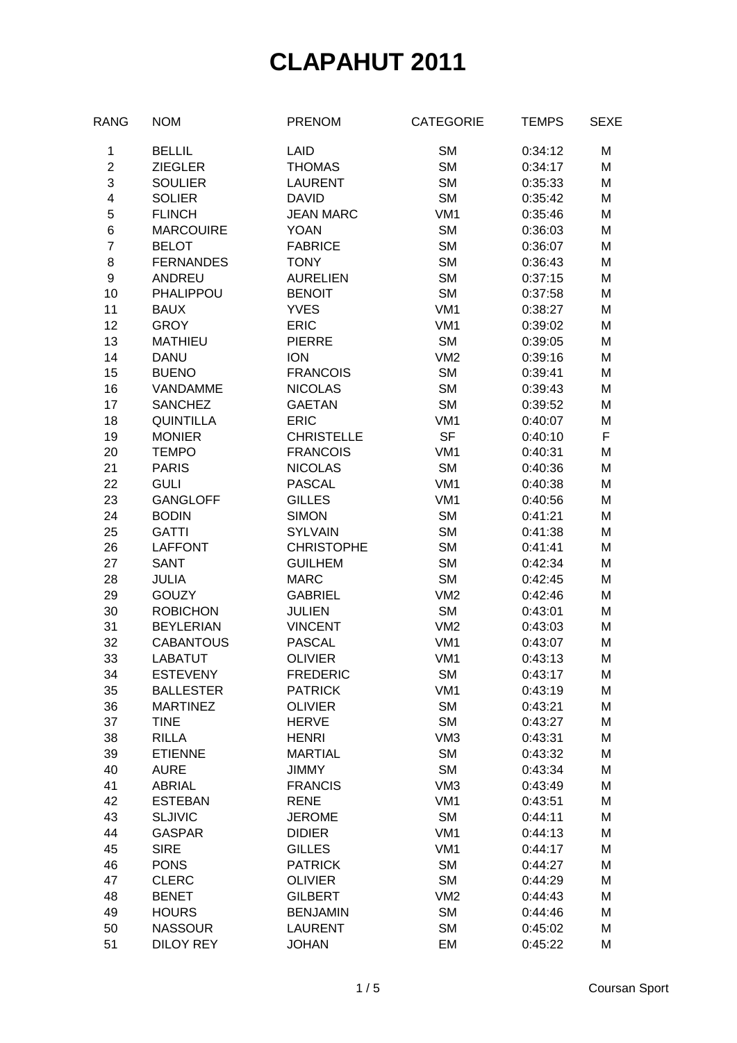| <b>NOM</b>       | <b>PRENOM</b>                                                                                                                                                                                                                                                                                                                                                                                                                                                                                                                                                                                        | <b>CATEGORIE</b>                                                                                                                                                                                                                                                                                                                                                                                                                                                                                                                                                                                                          | <b>TEMPS</b>                                                                                                                                                                                                                                                                                                                                                                                                                                                                                                                                                                                                         | <b>SEXE</b>                                                                                                                                                                                                                                                                                                                                                                                                                    |
|------------------|------------------------------------------------------------------------------------------------------------------------------------------------------------------------------------------------------------------------------------------------------------------------------------------------------------------------------------------------------------------------------------------------------------------------------------------------------------------------------------------------------------------------------------------------------------------------------------------------------|---------------------------------------------------------------------------------------------------------------------------------------------------------------------------------------------------------------------------------------------------------------------------------------------------------------------------------------------------------------------------------------------------------------------------------------------------------------------------------------------------------------------------------------------------------------------------------------------------------------------------|----------------------------------------------------------------------------------------------------------------------------------------------------------------------------------------------------------------------------------------------------------------------------------------------------------------------------------------------------------------------------------------------------------------------------------------------------------------------------------------------------------------------------------------------------------------------------------------------------------------------|--------------------------------------------------------------------------------------------------------------------------------------------------------------------------------------------------------------------------------------------------------------------------------------------------------------------------------------------------------------------------------------------------------------------------------|
| <b>BELLIL</b>    | LAID                                                                                                                                                                                                                                                                                                                                                                                                                                                                                                                                                                                                 | <b>SM</b>                                                                                                                                                                                                                                                                                                                                                                                                                                                                                                                                                                                                                 | 0:34:12                                                                                                                                                                                                                                                                                                                                                                                                                                                                                                                                                                                                              | M                                                                                                                                                                                                                                                                                                                                                                                                                              |
| <b>ZIEGLER</b>   | <b>THOMAS</b>                                                                                                                                                                                                                                                                                                                                                                                                                                                                                                                                                                                        | <b>SM</b>                                                                                                                                                                                                                                                                                                                                                                                                                                                                                                                                                                                                                 | 0:34:17                                                                                                                                                                                                                                                                                                                                                                                                                                                                                                                                                                                                              | M                                                                                                                                                                                                                                                                                                                                                                                                                              |
| <b>SOULIER</b>   | <b>LAURENT</b>                                                                                                                                                                                                                                                                                                                                                                                                                                                                                                                                                                                       | <b>SM</b>                                                                                                                                                                                                                                                                                                                                                                                                                                                                                                                                                                                                                 | 0:35:33                                                                                                                                                                                                                                                                                                                                                                                                                                                                                                                                                                                                              | M                                                                                                                                                                                                                                                                                                                                                                                                                              |
| <b>SOLIER</b>    | <b>DAVID</b>                                                                                                                                                                                                                                                                                                                                                                                                                                                                                                                                                                                         |                                                                                                                                                                                                                                                                                                                                                                                                                                                                                                                                                                                                                           | 0:35:42                                                                                                                                                                                                                                                                                                                                                                                                                                                                                                                                                                                                              | M                                                                                                                                                                                                                                                                                                                                                                                                                              |
| <b>FLINCH</b>    | <b>JEAN MARC</b>                                                                                                                                                                                                                                                                                                                                                                                                                                                                                                                                                                                     | VM <sub>1</sub>                                                                                                                                                                                                                                                                                                                                                                                                                                                                                                                                                                                                           | 0:35:46                                                                                                                                                                                                                                                                                                                                                                                                                                                                                                                                                                                                              | M                                                                                                                                                                                                                                                                                                                                                                                                                              |
|                  | <b>YOAN</b>                                                                                                                                                                                                                                                                                                                                                                                                                                                                                                                                                                                          |                                                                                                                                                                                                                                                                                                                                                                                                                                                                                                                                                                                                                           |                                                                                                                                                                                                                                                                                                                                                                                                                                                                                                                                                                                                                      | M                                                                                                                                                                                                                                                                                                                                                                                                                              |
|                  |                                                                                                                                                                                                                                                                                                                                                                                                                                                                                                                                                                                                      |                                                                                                                                                                                                                                                                                                                                                                                                                                                                                                                                                                                                                           |                                                                                                                                                                                                                                                                                                                                                                                                                                                                                                                                                                                                                      | M                                                                                                                                                                                                                                                                                                                                                                                                                              |
|                  |                                                                                                                                                                                                                                                                                                                                                                                                                                                                                                                                                                                                      |                                                                                                                                                                                                                                                                                                                                                                                                                                                                                                                                                                                                                           |                                                                                                                                                                                                                                                                                                                                                                                                                                                                                                                                                                                                                      | M                                                                                                                                                                                                                                                                                                                                                                                                                              |
|                  |                                                                                                                                                                                                                                                                                                                                                                                                                                                                                                                                                                                                      |                                                                                                                                                                                                                                                                                                                                                                                                                                                                                                                                                                                                                           |                                                                                                                                                                                                                                                                                                                                                                                                                                                                                                                                                                                                                      | M                                                                                                                                                                                                                                                                                                                                                                                                                              |
|                  |                                                                                                                                                                                                                                                                                                                                                                                                                                                                                                                                                                                                      |                                                                                                                                                                                                                                                                                                                                                                                                                                                                                                                                                                                                                           |                                                                                                                                                                                                                                                                                                                                                                                                                                                                                                                                                                                                                      | M                                                                                                                                                                                                                                                                                                                                                                                                                              |
|                  |                                                                                                                                                                                                                                                                                                                                                                                                                                                                                                                                                                                                      |                                                                                                                                                                                                                                                                                                                                                                                                                                                                                                                                                                                                                           |                                                                                                                                                                                                                                                                                                                                                                                                                                                                                                                                                                                                                      | M                                                                                                                                                                                                                                                                                                                                                                                                                              |
|                  |                                                                                                                                                                                                                                                                                                                                                                                                                                                                                                                                                                                                      |                                                                                                                                                                                                                                                                                                                                                                                                                                                                                                                                                                                                                           |                                                                                                                                                                                                                                                                                                                                                                                                                                                                                                                                                                                                                      | M                                                                                                                                                                                                                                                                                                                                                                                                                              |
|                  |                                                                                                                                                                                                                                                                                                                                                                                                                                                                                                                                                                                                      |                                                                                                                                                                                                                                                                                                                                                                                                                                                                                                                                                                                                                           |                                                                                                                                                                                                                                                                                                                                                                                                                                                                                                                                                                                                                      | M                                                                                                                                                                                                                                                                                                                                                                                                                              |
|                  |                                                                                                                                                                                                                                                                                                                                                                                                                                                                                                                                                                                                      |                                                                                                                                                                                                                                                                                                                                                                                                                                                                                                                                                                                                                           |                                                                                                                                                                                                                                                                                                                                                                                                                                                                                                                                                                                                                      | M                                                                                                                                                                                                                                                                                                                                                                                                                              |
|                  |                                                                                                                                                                                                                                                                                                                                                                                                                                                                                                                                                                                                      |                                                                                                                                                                                                                                                                                                                                                                                                                                                                                                                                                                                                                           |                                                                                                                                                                                                                                                                                                                                                                                                                                                                                                                                                                                                                      | M                                                                                                                                                                                                                                                                                                                                                                                                                              |
| <b>VANDAMME</b>  |                                                                                                                                                                                                                                                                                                                                                                                                                                                                                                                                                                                                      |                                                                                                                                                                                                                                                                                                                                                                                                                                                                                                                                                                                                                           |                                                                                                                                                                                                                                                                                                                                                                                                                                                                                                                                                                                                                      | M                                                                                                                                                                                                                                                                                                                                                                                                                              |
|                  |                                                                                                                                                                                                                                                                                                                                                                                                                                                                                                                                                                                                      |                                                                                                                                                                                                                                                                                                                                                                                                                                                                                                                                                                                                                           |                                                                                                                                                                                                                                                                                                                                                                                                                                                                                                                                                                                                                      | M                                                                                                                                                                                                                                                                                                                                                                                                                              |
|                  | <b>ERIC</b>                                                                                                                                                                                                                                                                                                                                                                                                                                                                                                                                                                                          |                                                                                                                                                                                                                                                                                                                                                                                                                                                                                                                                                                                                                           |                                                                                                                                                                                                                                                                                                                                                                                                                                                                                                                                                                                                                      | M                                                                                                                                                                                                                                                                                                                                                                                                                              |
|                  |                                                                                                                                                                                                                                                                                                                                                                                                                                                                                                                                                                                                      |                                                                                                                                                                                                                                                                                                                                                                                                                                                                                                                                                                                                                           |                                                                                                                                                                                                                                                                                                                                                                                                                                                                                                                                                                                                                      | F                                                                                                                                                                                                                                                                                                                                                                                                                              |
|                  |                                                                                                                                                                                                                                                                                                                                                                                                                                                                                                                                                                                                      |                                                                                                                                                                                                                                                                                                                                                                                                                                                                                                                                                                                                                           |                                                                                                                                                                                                                                                                                                                                                                                                                                                                                                                                                                                                                      | M                                                                                                                                                                                                                                                                                                                                                                                                                              |
|                  |                                                                                                                                                                                                                                                                                                                                                                                                                                                                                                                                                                                                      |                                                                                                                                                                                                                                                                                                                                                                                                                                                                                                                                                                                                                           |                                                                                                                                                                                                                                                                                                                                                                                                                                                                                                                                                                                                                      | M                                                                                                                                                                                                                                                                                                                                                                                                                              |
|                  |                                                                                                                                                                                                                                                                                                                                                                                                                                                                                                                                                                                                      |                                                                                                                                                                                                                                                                                                                                                                                                                                                                                                                                                                                                                           |                                                                                                                                                                                                                                                                                                                                                                                                                                                                                                                                                                                                                      | M                                                                                                                                                                                                                                                                                                                                                                                                                              |
|                  |                                                                                                                                                                                                                                                                                                                                                                                                                                                                                                                                                                                                      |                                                                                                                                                                                                                                                                                                                                                                                                                                                                                                                                                                                                                           |                                                                                                                                                                                                                                                                                                                                                                                                                                                                                                                                                                                                                      | M                                                                                                                                                                                                                                                                                                                                                                                                                              |
|                  |                                                                                                                                                                                                                                                                                                                                                                                                                                                                                                                                                                                                      |                                                                                                                                                                                                                                                                                                                                                                                                                                                                                                                                                                                                                           |                                                                                                                                                                                                                                                                                                                                                                                                                                                                                                                                                                                                                      | M                                                                                                                                                                                                                                                                                                                                                                                                                              |
|                  |                                                                                                                                                                                                                                                                                                                                                                                                                                                                                                                                                                                                      |                                                                                                                                                                                                                                                                                                                                                                                                                                                                                                                                                                                                                           |                                                                                                                                                                                                                                                                                                                                                                                                                                                                                                                                                                                                                      | M                                                                                                                                                                                                                                                                                                                                                                                                                              |
|                  |                                                                                                                                                                                                                                                                                                                                                                                                                                                                                                                                                                                                      |                                                                                                                                                                                                                                                                                                                                                                                                                                                                                                                                                                                                                           |                                                                                                                                                                                                                                                                                                                                                                                                                                                                                                                                                                                                                      | M                                                                                                                                                                                                                                                                                                                                                                                                                              |
|                  |                                                                                                                                                                                                                                                                                                                                                                                                                                                                                                                                                                                                      |                                                                                                                                                                                                                                                                                                                                                                                                                                                                                                                                                                                                                           |                                                                                                                                                                                                                                                                                                                                                                                                                                                                                                                                                                                                                      | M                                                                                                                                                                                                                                                                                                                                                                                                                              |
|                  |                                                                                                                                                                                                                                                                                                                                                                                                                                                                                                                                                                                                      |                                                                                                                                                                                                                                                                                                                                                                                                                                                                                                                                                                                                                           |                                                                                                                                                                                                                                                                                                                                                                                                                                                                                                                                                                                                                      | M                                                                                                                                                                                                                                                                                                                                                                                                                              |
|                  |                                                                                                                                                                                                                                                                                                                                                                                                                                                                                                                                                                                                      |                                                                                                                                                                                                                                                                                                                                                                                                                                                                                                                                                                                                                           |                                                                                                                                                                                                                                                                                                                                                                                                                                                                                                                                                                                                                      | M                                                                                                                                                                                                                                                                                                                                                                                                                              |
|                  |                                                                                                                                                                                                                                                                                                                                                                                                                                                                                                                                                                                                      |                                                                                                                                                                                                                                                                                                                                                                                                                                                                                                                                                                                                                           |                                                                                                                                                                                                                                                                                                                                                                                                                                                                                                                                                                                                                      | M                                                                                                                                                                                                                                                                                                                                                                                                                              |
|                  |                                                                                                                                                                                                                                                                                                                                                                                                                                                                                                                                                                                                      |                                                                                                                                                                                                                                                                                                                                                                                                                                                                                                                                                                                                                           |                                                                                                                                                                                                                                                                                                                                                                                                                                                                                                                                                                                                                      | M                                                                                                                                                                                                                                                                                                                                                                                                                              |
|                  |                                                                                                                                                                                                                                                                                                                                                                                                                                                                                                                                                                                                      |                                                                                                                                                                                                                                                                                                                                                                                                                                                                                                                                                                                                                           |                                                                                                                                                                                                                                                                                                                                                                                                                                                                                                                                                                                                                      | M                                                                                                                                                                                                                                                                                                                                                                                                                              |
| <b>LABATUT</b>   | <b>OLIVIER</b>                                                                                                                                                                                                                                                                                                                                                                                                                                                                                                                                                                                       |                                                                                                                                                                                                                                                                                                                                                                                                                                                                                                                                                                                                                           | 0:43:13                                                                                                                                                                                                                                                                                                                                                                                                                                                                                                                                                                                                              | M                                                                                                                                                                                                                                                                                                                                                                                                                              |
|                  |                                                                                                                                                                                                                                                                                                                                                                                                                                                                                                                                                                                                      |                                                                                                                                                                                                                                                                                                                                                                                                                                                                                                                                                                                                                           |                                                                                                                                                                                                                                                                                                                                                                                                                                                                                                                                                                                                                      | M                                                                                                                                                                                                                                                                                                                                                                                                                              |
| <b>BALLESTER</b> |                                                                                                                                                                                                                                                                                                                                                                                                                                                                                                                                                                                                      |                                                                                                                                                                                                                                                                                                                                                                                                                                                                                                                                                                                                                           |                                                                                                                                                                                                                                                                                                                                                                                                                                                                                                                                                                                                                      | Μ                                                                                                                                                                                                                                                                                                                                                                                                                              |
|                  |                                                                                                                                                                                                                                                                                                                                                                                                                                                                                                                                                                                                      |                                                                                                                                                                                                                                                                                                                                                                                                                                                                                                                                                                                                                           |                                                                                                                                                                                                                                                                                                                                                                                                                                                                                                                                                                                                                      | M                                                                                                                                                                                                                                                                                                                                                                                                                              |
| <b>TINE</b>      |                                                                                                                                                                                                                                                                                                                                                                                                                                                                                                                                                                                                      |                                                                                                                                                                                                                                                                                                                                                                                                                                                                                                                                                                                                                           |                                                                                                                                                                                                                                                                                                                                                                                                                                                                                                                                                                                                                      | M                                                                                                                                                                                                                                                                                                                                                                                                                              |
|                  |                                                                                                                                                                                                                                                                                                                                                                                                                                                                                                                                                                                                      |                                                                                                                                                                                                                                                                                                                                                                                                                                                                                                                                                                                                                           | 0:43:31                                                                                                                                                                                                                                                                                                                                                                                                                                                                                                                                                                                                              | M                                                                                                                                                                                                                                                                                                                                                                                                                              |
| <b>ETIENNE</b>   | <b>MARTIAL</b>                                                                                                                                                                                                                                                                                                                                                                                                                                                                                                                                                                                       |                                                                                                                                                                                                                                                                                                                                                                                                                                                                                                                                                                                                                           |                                                                                                                                                                                                                                                                                                                                                                                                                                                                                                                                                                                                                      | M                                                                                                                                                                                                                                                                                                                                                                                                                              |
|                  | <b>JIMMY</b>                                                                                                                                                                                                                                                                                                                                                                                                                                                                                                                                                                                         |                                                                                                                                                                                                                                                                                                                                                                                                                                                                                                                                                                                                                           | 0:43:34                                                                                                                                                                                                                                                                                                                                                                                                                                                                                                                                                                                                              | M                                                                                                                                                                                                                                                                                                                                                                                                                              |
| <b>ABRIAL</b>    | <b>FRANCIS</b>                                                                                                                                                                                                                                                                                                                                                                                                                                                                                                                                                                                       |                                                                                                                                                                                                                                                                                                                                                                                                                                                                                                                                                                                                                           |                                                                                                                                                                                                                                                                                                                                                                                                                                                                                                                                                                                                                      | M                                                                                                                                                                                                                                                                                                                                                                                                                              |
|                  |                                                                                                                                                                                                                                                                                                                                                                                                                                                                                                                                                                                                      |                                                                                                                                                                                                                                                                                                                                                                                                                                                                                                                                                                                                                           |                                                                                                                                                                                                                                                                                                                                                                                                                                                                                                                                                                                                                      | M                                                                                                                                                                                                                                                                                                                                                                                                                              |
|                  |                                                                                                                                                                                                                                                                                                                                                                                                                                                                                                                                                                                                      |                                                                                                                                                                                                                                                                                                                                                                                                                                                                                                                                                                                                                           |                                                                                                                                                                                                                                                                                                                                                                                                                                                                                                                                                                                                                      | M                                                                                                                                                                                                                                                                                                                                                                                                                              |
| <b>GASPAR</b>    |                                                                                                                                                                                                                                                                                                                                                                                                                                                                                                                                                                                                      |                                                                                                                                                                                                                                                                                                                                                                                                                                                                                                                                                                                                                           |                                                                                                                                                                                                                                                                                                                                                                                                                                                                                                                                                                                                                      | M                                                                                                                                                                                                                                                                                                                                                                                                                              |
|                  |                                                                                                                                                                                                                                                                                                                                                                                                                                                                                                                                                                                                      |                                                                                                                                                                                                                                                                                                                                                                                                                                                                                                                                                                                                                           |                                                                                                                                                                                                                                                                                                                                                                                                                                                                                                                                                                                                                      | M                                                                                                                                                                                                                                                                                                                                                                                                                              |
|                  |                                                                                                                                                                                                                                                                                                                                                                                                                                                                                                                                                                                                      |                                                                                                                                                                                                                                                                                                                                                                                                                                                                                                                                                                                                                           |                                                                                                                                                                                                                                                                                                                                                                                                                                                                                                                                                                                                                      | M                                                                                                                                                                                                                                                                                                                                                                                                                              |
| <b>CLERC</b>     | <b>OLIVIER</b>                                                                                                                                                                                                                                                                                                                                                                                                                                                                                                                                                                                       | <b>SM</b>                                                                                                                                                                                                                                                                                                                                                                                                                                                                                                                                                                                                                 | 0:44:29                                                                                                                                                                                                                                                                                                                                                                                                                                                                                                                                                                                                              | M                                                                                                                                                                                                                                                                                                                                                                                                                              |
| <b>BENET</b>     | <b>GILBERT</b>                                                                                                                                                                                                                                                                                                                                                                                                                                                                                                                                                                                       | VM2                                                                                                                                                                                                                                                                                                                                                                                                                                                                                                                                                                                                                       | 0:44:43                                                                                                                                                                                                                                                                                                                                                                                                                                                                                                                                                                                                              | M                                                                                                                                                                                                                                                                                                                                                                                                                              |
| <b>HOURS</b>     | <b>BENJAMIN</b>                                                                                                                                                                                                                                                                                                                                                                                                                                                                                                                                                                                      | <b>SM</b>                                                                                                                                                                                                                                                                                                                                                                                                                                                                                                                                                                                                                 | 0:44:46                                                                                                                                                                                                                                                                                                                                                                                                                                                                                                                                                                                                              | M                                                                                                                                                                                                                                                                                                                                                                                                                              |
| <b>NASSOUR</b>   | <b>LAURENT</b>                                                                                                                                                                                                                                                                                                                                                                                                                                                                                                                                                                                       | <b>SM</b>                                                                                                                                                                                                                                                                                                                                                                                                                                                                                                                                                                                                                 | 0:45:02                                                                                                                                                                                                                                                                                                                                                                                                                                                                                                                                                                                                              | M                                                                                                                                                                                                                                                                                                                                                                                                                              |
| <b>DILOY REY</b> | <b>JOHAN</b>                                                                                                                                                                                                                                                                                                                                                                                                                                                                                                                                                                                         | EM                                                                                                                                                                                                                                                                                                                                                                                                                                                                                                                                                                                                                        | 0:45:22                                                                                                                                                                                                                                                                                                                                                                                                                                                                                                                                                                                                              | M                                                                                                                                                                                                                                                                                                                                                                                                                              |
|                  | <b>MARCOUIRE</b><br><b>BELOT</b><br><b>FERNANDES</b><br><b>ANDREU</b><br><b>PHALIPPOU</b><br><b>BAUX</b><br><b>GROY</b><br><b>MATHIEU</b><br><b>DANU</b><br><b>BUENO</b><br><b>SANCHEZ</b><br><b>QUINTILLA</b><br><b>MONIER</b><br><b>TEMPO</b><br><b>PARIS</b><br><b>GULI</b><br><b>GANGLOFF</b><br><b>BODIN</b><br><b>GATTI</b><br><b>LAFFONT</b><br><b>SANT</b><br><b>JULIA</b><br><b>GOUZY</b><br><b>ROBICHON</b><br><b>BEYLERIAN</b><br><b>CABANTOUS</b><br><b>ESTEVENY</b><br><b>MARTINEZ</b><br><b>RILLA</b><br><b>AURE</b><br><b>ESTEBAN</b><br><b>SLJIVIC</b><br><b>SIRE</b><br><b>PONS</b> | <b>FABRICE</b><br><b>TONY</b><br><b>AURELIEN</b><br><b>BENOIT</b><br><b>YVES</b><br><b>ERIC</b><br><b>PIERRE</b><br><b>ION</b><br><b>FRANCOIS</b><br><b>NICOLAS</b><br><b>GAETAN</b><br><b>CHRISTELLE</b><br><b>FRANCOIS</b><br><b>NICOLAS</b><br><b>PASCAL</b><br><b>GILLES</b><br><b>SIMON</b><br><b>SYLVAIN</b><br><b>CHRISTOPHE</b><br><b>GUILHEM</b><br><b>MARC</b><br><b>GABRIEL</b><br><b>JULIEN</b><br><b>VINCENT</b><br><b>PASCAL</b><br><b>FREDERIC</b><br><b>PATRICK</b><br><b>OLIVIER</b><br><b>HERVE</b><br><b>HENRI</b><br><b>RENE</b><br><b>JEROME</b><br><b>DIDIER</b><br><b>GILLES</b><br><b>PATRICK</b> | <b>SM</b><br><b>SM</b><br><b>SM</b><br><b>SM</b><br><b>SM</b><br><b>SM</b><br>VM <sub>1</sub><br>VM <sub>1</sub><br><b>SM</b><br>VM2<br><b>SM</b><br><b>SM</b><br><b>SM</b><br>VM1<br><b>SF</b><br>VM <sub>1</sub><br><b>SM</b><br>VM <sub>1</sub><br>VM <sub>1</sub><br><b>SM</b><br><b>SM</b><br><b>SM</b><br><b>SM</b><br><b>SM</b><br>VM2<br><b>SM</b><br>VM2<br>VM <sub>1</sub><br>VM <sub>1</sub><br><b>SM</b><br>VM <sub>1</sub><br><b>SM</b><br><b>SM</b><br>VM <sub>3</sub><br><b>SM</b><br><b>SM</b><br>VM <sub>3</sub><br>VM <sub>1</sub><br><b>SM</b><br>VM <sub>1</sub><br>VM <sub>1</sub><br><b>SM</b> | 0:36:03<br>0:36:07<br>0:36:43<br>0:37:15<br>0:37:58<br>0:38:27<br>0:39:02<br>0:39:05<br>0:39:16<br>0:39:41<br>0:39:43<br>0:39:52<br>0:40:07<br>0:40:10<br>0:40:31<br>0:40:36<br>0:40:38<br>0:40:56<br>0:41:21<br>0:41:38<br>0:41:41<br>0:42:34<br>0:42:45<br>0:42:46<br>0:43:01<br>0:43:03<br>0:43:07<br>0:43:17<br>0:43:19<br>0:43:21<br>0:43:27<br>0:43:32<br>0:43:49<br>0:43:51<br>0:44:11<br>0:44:13<br>0:44:17<br>0:44:27 |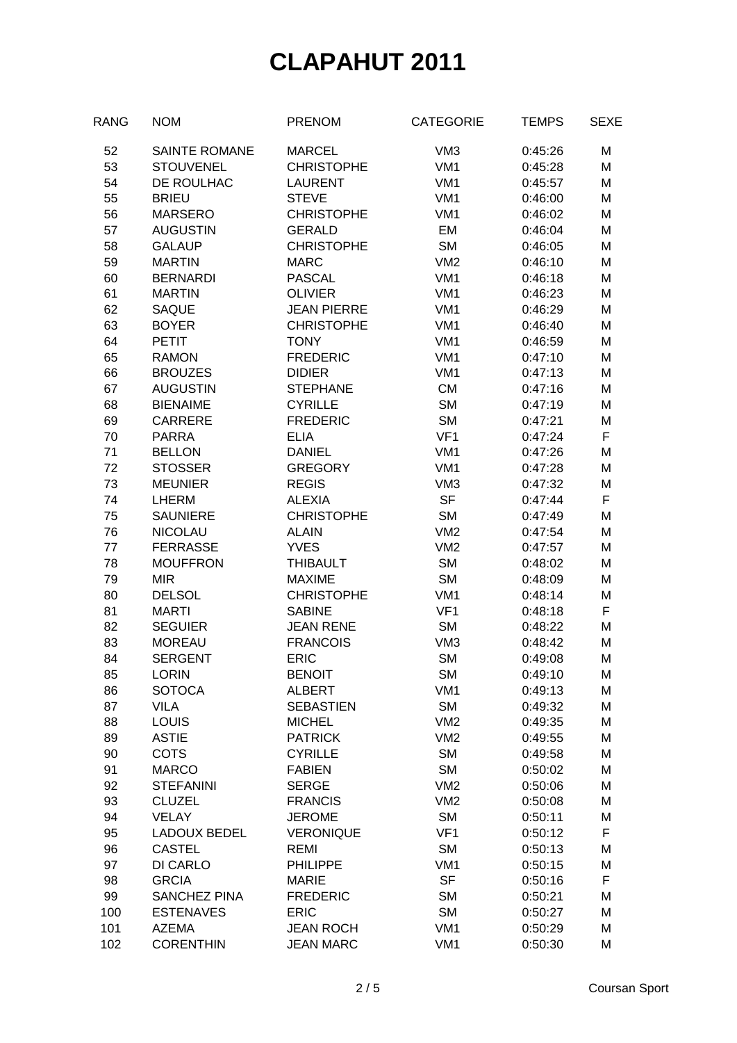| <b>RANG</b> | <b>NOM</b>           | <b>PRENOM</b>      | <b>CATEGORIE</b> | <b>TEMPS</b> | <b>SEXE</b> |
|-------------|----------------------|--------------------|------------------|--------------|-------------|
| 52          | <b>SAINTE ROMANE</b> | <b>MARCEL</b>      | VM <sub>3</sub>  | 0:45:26      | M           |
| 53          | <b>STOUVENEL</b>     | <b>CHRISTOPHE</b>  | VM <sub>1</sub>  | 0:45:28      | M           |
| 54          | DE ROULHAC           | <b>LAURENT</b>     | VM <sub>1</sub>  | 0:45:57      | M           |
| 55          | <b>BRIEU</b>         | <b>STEVE</b>       | VM <sub>1</sub>  | 0:46:00      | M           |
| 56          | <b>MARSERO</b>       | <b>CHRISTOPHE</b>  | VM <sub>1</sub>  | 0:46:02      | M           |
| 57          | <b>AUGUSTIN</b>      | <b>GERALD</b>      | EM               | 0:46:04      | M           |
| 58          | <b>GALAUP</b>        | <b>CHRISTOPHE</b>  | <b>SM</b>        | 0:46:05      | M           |
| 59          | <b>MARTIN</b>        | <b>MARC</b>        | VM2              | 0:46:10      | M           |
| 60          | <b>BERNARDI</b>      | <b>PASCAL</b>      | VM <sub>1</sub>  | 0:46:18      | M           |
| 61          | <b>MARTIN</b>        | <b>OLIVIER</b>     | VM <sub>1</sub>  | 0:46:23      | M           |
| 62          | <b>SAQUE</b>         | <b>JEAN PIERRE</b> | VM <sub>1</sub>  | 0:46:29      | M           |
| 63          | <b>BOYER</b>         | <b>CHRISTOPHE</b>  | VM <sub>1</sub>  | 0:46:40      | M           |
| 64          | <b>PETIT</b>         | <b>TONY</b>        | VM <sub>1</sub>  | 0:46:59      | M           |
|             |                      |                    |                  |              |             |
| 65          | <b>RAMON</b>         | <b>FREDERIC</b>    | VM <sub>1</sub>  | 0:47:10      | M           |
| 66          | <b>BROUZES</b>       | <b>DIDIER</b>      | VM <sub>1</sub>  | 0:47:13      | M           |
| 67          | <b>AUGUSTIN</b>      | <b>STEPHANE</b>    | <b>CM</b>        | 0:47:16      | M           |
| 68          | <b>BIENAIME</b>      | <b>CYRILLE</b>     | <b>SM</b>        | 0:47:19      | M           |
| 69          | <b>CARRERE</b>       | <b>FREDERIC</b>    | <b>SM</b>        | 0:47:21      | M           |
| 70          | <b>PARRA</b>         | <b>ELIA</b>        | VF <sub>1</sub>  | 0:47:24      | F           |
| 71          | <b>BELLON</b>        | <b>DANIEL</b>      | VM <sub>1</sub>  | 0:47:26      | M           |
| 72          | <b>STOSSER</b>       | <b>GREGORY</b>     | VM <sub>1</sub>  | 0:47:28      | M           |
| 73          | <b>MEUNIER</b>       | <b>REGIS</b>       | VM <sub>3</sub>  | 0:47:32      | M           |
| 74          | <b>LHERM</b>         | <b>ALEXIA</b>      | <b>SF</b>        | 0:47:44      | F           |
| 75          | <b>SAUNIERE</b>      | <b>CHRISTOPHE</b>  | <b>SM</b>        | 0:47:49      | M           |
| 76          | <b>NICOLAU</b>       | <b>ALAIN</b>       | VM2              | 0:47:54      | M           |
| 77          | <b>FERRASSE</b>      | <b>YVES</b>        | VM2              | 0:47:57      | M           |
| 78          | <b>MOUFFRON</b>      | <b>THIBAULT</b>    | <b>SM</b>        | 0:48:02      | M           |
| 79          | <b>MIR</b>           | <b>MAXIME</b>      | <b>SM</b>        | 0:48:09      | M           |
| 80          | <b>DELSOL</b>        | <b>CHRISTOPHE</b>  | VM <sub>1</sub>  | 0:48:14      | M           |
| 81          | <b>MARTI</b>         | <b>SABINE</b>      | VF <sub>1</sub>  | 0:48:18      | F           |
| 82          | <b>SEGUIER</b>       | <b>JEAN RENE</b>   | <b>SM</b>        | 0:48:22      | M           |
| 83          | <b>MOREAU</b>        | <b>FRANCOIS</b>    | VM <sub>3</sub>  | 0:48:42      | M           |
| 84          | <b>SERGENT</b>       | <b>ERIC</b>        | <b>SM</b>        | 0:49:08      | M           |
| 85          | <b>LORIN</b>         | <b>BENOIT</b>      | <b>SM</b>        | 0:49:10      | M           |
| 86          | <b>SOTOCA</b>        | <b>ALBERT</b>      | VM <sub>1</sub>  | 0:49:13      | M           |
| 87          | <b>VILA</b>          | <b>SEBASTIEN</b>   | <b>SM</b>        | 0:49:32      | M           |
| 88          | <b>LOUIS</b>         | <b>MICHEL</b>      | VM2              | 0:49:35      | M           |
| 89          | <b>ASTIE</b>         | <b>PATRICK</b>     | VM <sub>2</sub>  | 0:49:55      | M           |
| 90          | <b>COTS</b>          | <b>CYRILLE</b>     | <b>SM</b>        | 0:49:58      | M           |
| 91          | <b>MARCO</b>         | <b>FABIEN</b>      | <b>SM</b>        | 0:50:02      | M           |
| 92          | <b>STEFANINI</b>     | <b>SERGE</b>       | VM2              | 0:50:06      | M           |
| 93          | <b>CLUZEL</b>        | <b>FRANCIS</b>     | VM <sub>2</sub>  | 0:50:08      | M           |
| 94          | <b>VELAY</b>         | <b>JEROME</b>      | <b>SM</b>        | 0:50:11      | M           |
| 95          | <b>LADOUX BEDEL</b>  | <b>VERONIQUE</b>   | VF <sub>1</sub>  | 0:50:12      | F           |
|             |                      | <b>REMI</b>        |                  |              |             |
| 96          | <b>CASTEL</b>        |                    | <b>SM</b>        | 0:50:13      | M           |
| 97          | DI CARLO             | <b>PHILIPPE</b>    | VM <sub>1</sub>  | 0:50:15      | M           |
| 98          | <b>GRCIA</b>         | <b>MARIE</b>       | <b>SF</b>        | 0:50:16      | F           |
| 99          | <b>SANCHEZ PINA</b>  | <b>FREDERIC</b>    | <b>SM</b>        | 0:50:21      | M           |
| 100         | <b>ESTENAVES</b>     | <b>ERIC</b>        | <b>SM</b>        | 0:50:27      | M           |
| 101         | <b>AZEMA</b>         | <b>JEAN ROCH</b>   | VM <sub>1</sub>  | 0:50:29      | M           |
| 102         | <b>CORENTHIN</b>     | <b>JEAN MARC</b>   | VM1              | 0:50:30      | M           |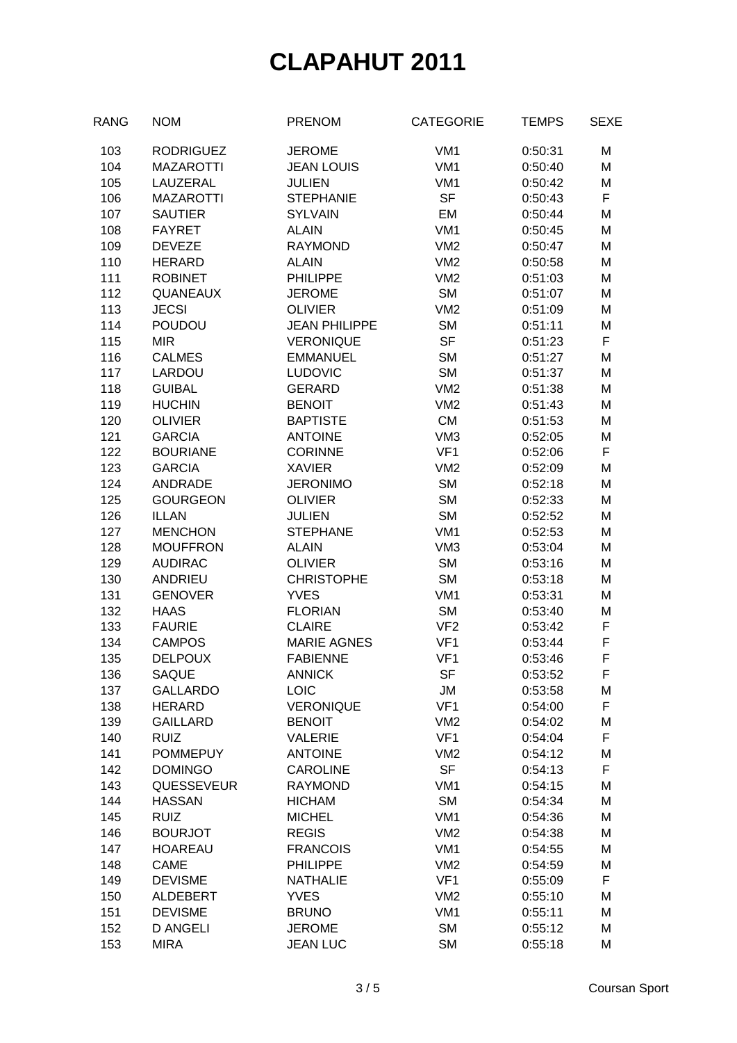| <b>RANG</b> | <b>NOM</b>        | <b>PRENOM</b>        | <b>CATEGORIE</b> | <b>TEMPS</b> | <b>SEXE</b> |
|-------------|-------------------|----------------------|------------------|--------------|-------------|
| 103         | <b>RODRIGUEZ</b>  | <b>JEROME</b>        | VM <sub>1</sub>  | 0:50:31      | M           |
| 104         | <b>MAZAROTTI</b>  | <b>JEAN LOUIS</b>    | VM <sub>1</sub>  | 0:50:40      | M           |
| 105         | LAUZERAL          | <b>JULIEN</b>        | VM <sub>1</sub>  | 0:50:42      | M           |
| 106         | <b>MAZAROTTI</b>  | <b>STEPHANIE</b>     | <b>SF</b>        | 0:50:43      | F           |
| 107         | <b>SAUTIER</b>    | <b>SYLVAIN</b>       | EM               | 0:50:44      | M           |
| 108         | <b>FAYRET</b>     | <b>ALAIN</b>         | VM1              | 0:50:45      | M           |
| 109         | <b>DEVEZE</b>     | <b>RAYMOND</b>       | VM2              | 0:50:47      | M           |
| 110         | <b>HERARD</b>     | <b>ALAIN</b>         | VM2              | 0:50:58      | M           |
| 111         | <b>ROBINET</b>    | <b>PHILIPPE</b>      | VM2              | 0:51:03      | M           |
| 112         | <b>QUANEAUX</b>   | <b>JEROME</b>        | <b>SM</b>        | 0:51:07      | M           |
| 113         | <b>JECSI</b>      | <b>OLIVIER</b>       | VM2              | 0:51:09      | M           |
| 114         | <b>POUDOU</b>     | <b>JEAN PHILIPPE</b> | <b>SM</b>        | 0:51:11      | M           |
| 115         | <b>MIR</b>        | <b>VERONIQUE</b>     | <b>SF</b>        | 0:51:23      | F           |
| 116         | <b>CALMES</b>     | <b>EMMANUEL</b>      | <b>SM</b>        | 0:51:27      | M           |
| 117         | LARDOU            | <b>LUDOVIC</b>       | <b>SM</b>        | 0:51:37      | M           |
| 118         | <b>GUIBAL</b>     | <b>GERARD</b>        | VM2              | 0:51:38      | M           |
| 119         | <b>HUCHIN</b>     | <b>BENOIT</b>        | VM2              | 0:51:43      | M           |
| 120         | <b>OLIVIER</b>    | <b>BAPTISTE</b>      | <b>CM</b>        | 0:51:53      | M           |
| 121         | <b>GARCIA</b>     | <b>ANTOINE</b>       | VM <sub>3</sub>  | 0:52:05      | M           |
| 122         | <b>BOURIANE</b>   | <b>CORINNE</b>       | VF <sub>1</sub>  | 0:52:06      | F           |
| 123         | <b>GARCIA</b>     | <b>XAVIER</b>        | VM2              | 0:52:09      | M           |
| 124         | <b>ANDRADE</b>    | <b>JERONIMO</b>      | <b>SM</b>        | 0:52:18      | M           |
| 125         | <b>GOURGEON</b>   | <b>OLIVIER</b>       | <b>SM</b>        | 0:52:33      | M           |
| 126         | <b>ILLAN</b>      | <b>JULIEN</b>        | <b>SM</b>        | 0:52:52      | M           |
| 127         | <b>MENCHON</b>    | <b>STEPHANE</b>      | VM <sub>1</sub>  | 0:52:53      | M           |
| 128         | <b>MOUFFRON</b>   | <b>ALAIN</b>         | VM <sub>3</sub>  | 0:53:04      | M           |
| 129         | <b>AUDIRAC</b>    | <b>OLIVIER</b>       | <b>SM</b>        | 0:53:16      | M           |
| 130         | <b>ANDRIEU</b>    | <b>CHRISTOPHE</b>    | <b>SM</b>        | 0:53:18      | M           |
| 131         | <b>GENOVER</b>    | <b>YVES</b>          | VM <sub>1</sub>  | 0:53:31      | M           |
| 132         | <b>HAAS</b>       | <b>FLORIAN</b>       | <b>SM</b>        | 0:53:40      | M           |
| 133         | <b>FAURIE</b>     | <b>CLAIRE</b>        | VF <sub>2</sub>  | 0:53:42      | F           |
| 134         | <b>CAMPOS</b>     | <b>MARIE AGNES</b>   | VF <sub>1</sub>  | 0:53:44      | F           |
| 135         | <b>DELPOUX</b>    | <b>FABIENNE</b>      | VF <sub>1</sub>  | 0:53:46      | F           |
| 136         | SAQUE             | <b>ANNICK</b>        | SF               | 0:53:52      | F           |
| 137         | <b>GALLARDO</b>   | LOIC                 | <b>JM</b>        | 0:53:58      | M           |
| 138         | <b>HERARD</b>     | <b>VERONIQUE</b>     | VF <sub>1</sub>  | 0:54:00      | F           |
| 139         | <b>GAILLARD</b>   | <b>BENOIT</b>        | VM <sub>2</sub>  | 0:54:02      | M           |
| 140         | <b>RUIZ</b>       | <b>VALERIE</b>       | VF <sub>1</sub>  | 0:54:04      | F           |
| 141         | <b>POMMEPUY</b>   | <b>ANTOINE</b>       | VM2              | 0:54:12      | M           |
| 142         | <b>DOMINGO</b>    | <b>CAROLINE</b>      | <b>SF</b>        | 0:54:13      | F           |
| 143         | <b>QUESSEVEUR</b> | <b>RAYMOND</b>       | VM <sub>1</sub>  | 0:54:15      | M           |
| 144         | <b>HASSAN</b>     | <b>HICHAM</b>        | <b>SM</b>        | 0:54:34      | M           |
| 145         | <b>RUIZ</b>       | <b>MICHEL</b>        | VM <sub>1</sub>  | 0:54:36      | M           |
| 146         | <b>BOURJOT</b>    | <b>REGIS</b>         | VM2              | 0:54:38      | M           |
| 147         | <b>HOAREAU</b>    | <b>FRANCOIS</b>      | VM <sub>1</sub>  | 0:54:55      | M           |
| 148         | <b>CAME</b>       | PHILIPPE             | VM <sub>2</sub>  | 0:54:59      | M           |
| 149         | <b>DEVISME</b>    | <b>NATHALIE</b>      | VF <sub>1</sub>  | 0:55:09      | F           |
| 150         | ALDEBERT          | <b>YVES</b>          | VM <sub>2</sub>  | 0:55:10      | M           |
| 151         | <b>DEVISME</b>    | <b>BRUNO</b>         | VM <sub>1</sub>  | 0:55:11      | M           |
| 152         | <b>D ANGELI</b>   | <b>JEROME</b>        | <b>SM</b>        | 0:55:12      | M           |
| 153         | <b>MIRA</b>       | <b>JEAN LUC</b>      | <b>SM</b>        | 0:55:18      | M           |
|             |                   |                      |                  |              |             |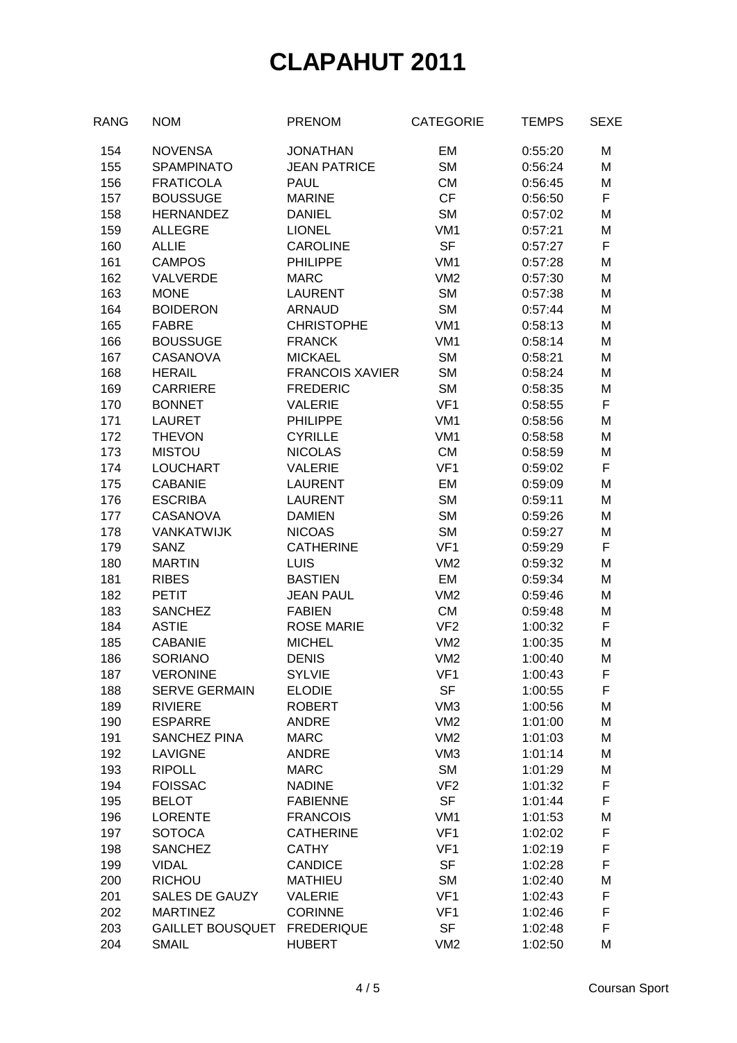| RANG | <b>NOM</b>              | <b>PRENOM</b>          | <b>CATEGORIE</b> | <b>TEMPS</b> | <b>SEXE</b> |
|------|-------------------------|------------------------|------------------|--------------|-------------|
| 154  | <b>NOVENSA</b>          | <b>JONATHAN</b>        | <b>EM</b>        | 0:55:20      | M           |
| 155  | <b>SPAMPINATO</b>       | <b>JEAN PATRICE</b>    | <b>SM</b>        | 0:56:24      | M           |
| 156  | <b>FRATICOLA</b>        | <b>PAUL</b>            | <b>CM</b>        | 0:56:45      | M           |
| 157  | <b>BOUSSUGE</b>         | <b>MARINE</b>          | CF               | 0:56:50      | F           |
| 158  | <b>HERNANDEZ</b>        | <b>DANIEL</b>          | <b>SM</b>        | 0:57:02      | M           |
| 159  | <b>ALLEGRE</b>          | <b>LIONEL</b>          | VM <sub>1</sub>  | 0:57:21      | M           |
| 160  | <b>ALLIE</b>            | <b>CAROLINE</b>        | <b>SF</b>        | 0:57:27      | F           |
| 161  | <b>CAMPOS</b>           | <b>PHILIPPE</b>        | VM <sub>1</sub>  | 0:57:28      | M           |
| 162  | VALVERDE                | <b>MARC</b>            | VM2              | 0:57:30      | M           |
| 163  | <b>MONE</b>             | <b>LAURENT</b>         | <b>SM</b>        | 0:57:38      | M           |
| 164  | <b>BOIDERON</b>         | <b>ARNAUD</b>          | <b>SM</b>        | 0:57:44      | M           |
| 165  | <b>FABRE</b>            | <b>CHRISTOPHE</b>      | VM <sub>1</sub>  | 0:58:13      | M           |
| 166  | <b>BOUSSUGE</b>         | <b>FRANCK</b>          | VM <sub>1</sub>  | 0:58:14      | M           |
| 167  | <b>CASANOVA</b>         | <b>MICKAEL</b>         | <b>SM</b>        | 0:58:21      | M           |
| 168  | <b>HERAIL</b>           | <b>FRANCOIS XAVIER</b> | <b>SM</b>        | 0:58:24      | M           |
| 169  | <b>CARRIERE</b>         | <b>FREDERIC</b>        | <b>SM</b>        | 0:58:35      | M           |
| 170  | <b>BONNET</b>           | <b>VALERIE</b>         | VF <sub>1</sub>  | 0:58:55      | F           |
| 171  | <b>LAURET</b>           | <b>PHILIPPE</b>        | VM <sub>1</sub>  | 0:58:56      | M           |
| 172  | <b>THEVON</b>           | <b>CYRILLE</b>         | VM <sub>1</sub>  | 0:58:58      | M           |
| 173  | <b>MISTOU</b>           | <b>NICOLAS</b>         | CM               | 0:58:59      | M           |
| 174  | <b>LOUCHART</b>         | <b>VALERIE</b>         | VF <sub>1</sub>  | 0:59:02      | F           |
| 175  | <b>CABANIE</b>          | <b>LAURENT</b>         | EM               | 0:59:09      | M           |
| 176  | <b>ESCRIBA</b>          | <b>LAURENT</b>         | <b>SM</b>        | 0:59:11      | M           |
| 177  | <b>CASANOVA</b>         | <b>DAMIEN</b>          | <b>SM</b>        | 0:59:26      | M           |
| 178  | <b>VANKATWIJK</b>       | <b>NICOAS</b>          | <b>SM</b>        | 0:59:27      | M           |
| 179  | <b>SANZ</b>             | <b>CATHERINE</b>       | VF <sub>1</sub>  | 0:59:29      | F           |
| 180  | <b>MARTIN</b>           | <b>LUIS</b>            | VM2              | 0:59:32      | M           |
| 181  | <b>RIBES</b>            | <b>BASTIEN</b>         | EM               | 0:59:34      | M           |
| 182  | <b>PETIT</b>            | <b>JEAN PAUL</b>       | VM2              | 0:59:46      | M           |
| 183  | <b>SANCHEZ</b>          | <b>FABIEN</b>          | <b>CM</b>        | 0:59:48      | M           |
| 184  | <b>ASTIE</b>            | <b>ROSE MARIE</b>      | VF <sub>2</sub>  | 1:00:32      | F           |
| 185  | <b>CABANIE</b>          | <b>MICHEL</b>          | VM2              | 1:00:35      | M           |
| 186  | <b>SORIANO</b>          | <b>DENIS</b>           | VM2              | 1:00:40      | M           |
| 187  | <b>VERONINE</b>         | <b>SYLVIE</b>          | VF1              | 1:00:43      | F           |
| 188  | <b>SERVE GERMAIN</b>    | <b>ELODIE</b>          | <b>SF</b>        | 1:00:55      | F           |
| 189  | <b>RIVIERE</b>          | <b>ROBERT</b>          | VM <sub>3</sub>  | 1:00:56      | M           |
| 190  | <b>ESPARRE</b>          | <b>ANDRE</b>           | VM2              | 1:01:00      | M           |
| 191  | <b>SANCHEZ PINA</b>     | <b>MARC</b>            | VM2              | 1:01:03      | M           |
| 192  | <b>LAVIGNE</b>          | <b>ANDRE</b>           | VM <sub>3</sub>  | 1:01:14      | M           |
| 193  | <b>RIPOLL</b>           | <b>MARC</b>            | <b>SM</b>        | 1:01:29      | M           |
| 194  | <b>FOISSAC</b>          | <b>NADINE</b>          | VF <sub>2</sub>  | 1:01:32      | F           |
| 195  | <b>BELOT</b>            | <b>FABIENNE</b>        | <b>SF</b>        | 1:01:44      | F           |
| 196  | <b>LORENTE</b>          | <b>FRANCOIS</b>        | VM <sub>1</sub>  | 1:01:53      | M           |
| 197  | <b>SOTOCA</b>           | <b>CATHERINE</b>       | VF <sub>1</sub>  | 1:02:02      | F           |
| 198  | <b>SANCHEZ</b>          | <b>CATHY</b>           | VF <sub>1</sub>  | 1:02:19      | F           |
| 199  | <b>VIDAL</b>            | <b>CANDICE</b>         | <b>SF</b>        | 1:02:28      | F           |
| 200  | <b>RICHOU</b>           | <b>MATHIEU</b>         | <b>SM</b>        | 1:02:40      | M           |
| 201  | <b>SALES DE GAUZY</b>   | <b>VALERIE</b>         | VF <sub>1</sub>  | 1:02:43      | F           |
| 202  | <b>MARTINEZ</b>         | <b>CORINNE</b>         | VF <sub>1</sub>  | 1:02:46      | F           |
| 203  | <b>GAILLET BOUSQUET</b> | <b>FREDERIQUE</b>      | <b>SF</b>        | 1:02:48      | F           |
| 204  | <b>SMAIL</b>            | <b>HUBERT</b>          | VM2              | 1:02:50      | M           |
|      |                         |                        |                  |              |             |